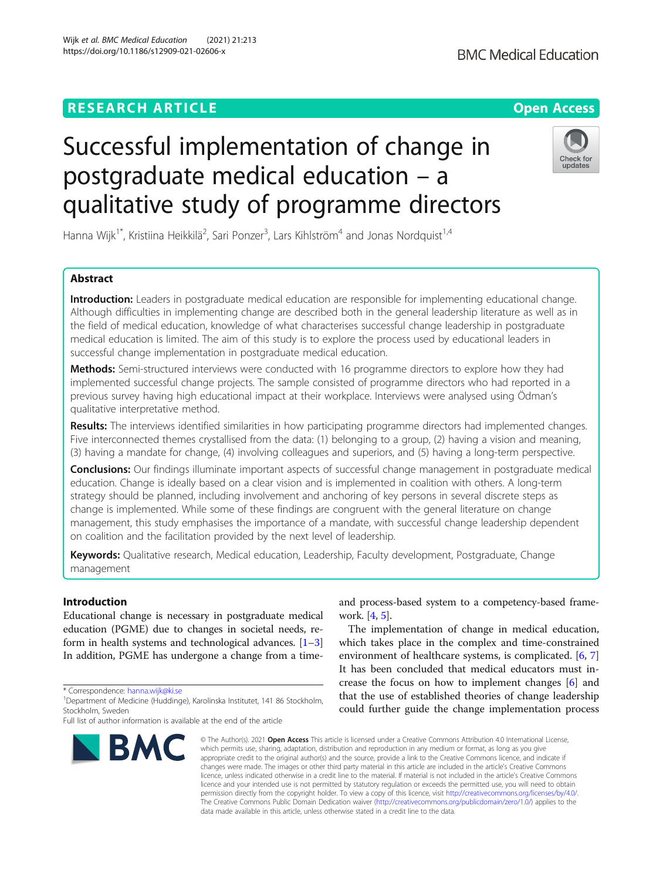## **RESEARCH ARTICLE Example 2014 12:30 The Contract of Contract ACCESS**

# Successful implementation of change in postgraduate medical education – a qualitative study of programme directors

Hanna Wijk<sup>1\*</sup>, Kristiina Heikkilä<sup>2</sup>, Sari Ponzer<sup>3</sup>, Lars Kihlström<sup>4</sup> and Jonas Nordquist<sup>1,4</sup>

### Abstract

Introduction: Leaders in postgraduate medical education are responsible for implementing educational change. Although difficulties in implementing change are described both in the general leadership literature as well as in the field of medical education, knowledge of what characterises successful change leadership in postgraduate medical education is limited. The aim of this study is to explore the process used by educational leaders in successful change implementation in postgraduate medical education.

Methods: Semi-structured interviews were conducted with 16 programme directors to explore how they had implemented successful change projects. The sample consisted of programme directors who had reported in a previous survey having high educational impact at their workplace. Interviews were analysed using Ödman's qualitative interpretative method.

Results: The interviews identified similarities in how participating programme directors had implemented changes. Five interconnected themes crystallised from the data: (1) belonging to a group, (2) having a vision and meaning, (3) having a mandate for change, (4) involving colleagues and superiors, and (5) having a long-term perspective.

Conclusions: Our findings illuminate important aspects of successful change management in postgraduate medical education. Change is ideally based on a clear vision and is implemented in coalition with others. A long-term strategy should be planned, including involvement and anchoring of key persons in several discrete steps as change is implemented. While some of these findings are congruent with the general literature on change management, this study emphasises the importance of a mandate, with successful change leadership dependent on coalition and the facilitation provided by the next level of leadership.

Keywords: Qualitative research, Medical education, Leadership, Faculty development, Postgraduate, Change management

#### Introduction

Educational change is necessary in postgraduate medical education (PGME) due to changes in societal needs, reform in health systems and technological advances.  $[1-3]$  $[1-3]$  $[1-3]$  $[1-3]$  $[1-3]$ In addition, PGME has undergone a change from a time-

\* Correspondence: [hanna.wijk@ki.se](mailto:hanna.wijk@ki.se) <sup>1</sup>

and process-based system to a competency-based framework. [[4](#page-6-0), [5](#page-6-0)].

The implementation of change in medical education, which takes place in the complex and time-constrained environment of healthcare systems, is complicated. [\[6](#page-7-0), [7](#page-7-0)] It has been concluded that medical educators must increase the focus on how to implement changes [\[6](#page-7-0)] and that the use of established theories of change leadership could further guide the change implementation process

© The Author(s). 2021 Open Access This article is licensed under a Creative Commons Attribution 4.0 International License, which permits use, sharing, adaptation, distribution and reproduction in any medium or format, as long as you give appropriate credit to the original author(s) and the source, provide a link to the Creative Commons licence, and indicate if changes were made. The images or other third party material in this article are included in the article's Creative Commons licence, unless indicated otherwise in a credit line to the material. If material is not included in the article's Creative Commons licence and your intended use is not permitted by statutory regulation or exceeds the permitted use, you will need to obtain permission directly from the copyright holder. To view a copy of this licence, visit [http://creativecommons.org/licenses/by/4.0/.](http://creativecommons.org/licenses/by/4.0/) The Creative Commons Public Domain Dedication waiver [\(http://creativecommons.org/publicdomain/zero/1.0/](http://creativecommons.org/publicdomain/zero/1.0/)) applies to the data made available in this article, unless otherwise stated in a credit line to the data.





Wijk et al. BMC Medical Education (2021) 21:213 https://doi.org/10.1186/s12909-021-02606-x

<sup>&</sup>lt;sup>1</sup>Department of Medicine (Huddinge), Karolinska Institutet, 141 86 Stockholm, Stockholm, Sweden

Full list of author information is available at the end of the article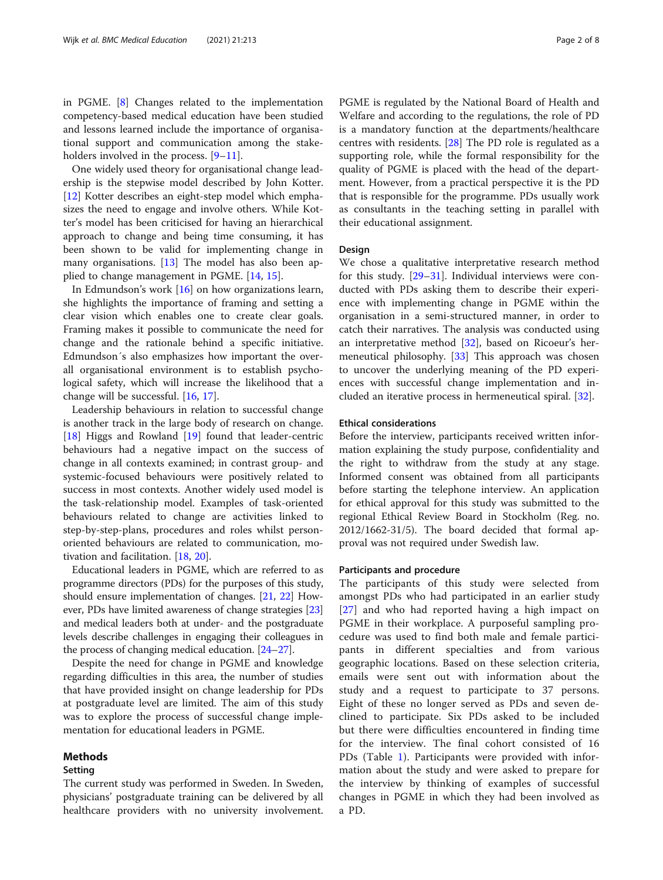in PGME. [[8\]](#page-7-0) Changes related to the implementation competency-based medical education have been studied and lessons learned include the importance of organisational support and communication among the stake-holders involved in the process. [\[9](#page-7-0)-[11\]](#page-7-0).

One widely used theory for organisational change leadership is the stepwise model described by John Kotter. [[12\]](#page-7-0) Kotter describes an eight-step model which emphasizes the need to engage and involve others. While Kotter's model has been criticised for having an hierarchical approach to change and being time consuming, it has been shown to be valid for implementing change in many organisations. [\[13](#page-7-0)] The model has also been applied to change management in PGME. [[14](#page-7-0), [15](#page-7-0)].

In Edmundson's work [[16\]](#page-7-0) on how organizations learn, she highlights the importance of framing and setting a clear vision which enables one to create clear goals. Framing makes it possible to communicate the need for change and the rationale behind a specific initiative. Edmundson´s also emphasizes how important the overall organisational environment is to establish psychological safety, which will increase the likelihood that a change will be successful. [[16,](#page-7-0) [17\]](#page-7-0).

Leadership behaviours in relation to successful change is another track in the large body of research on change. [[18\]](#page-7-0) Higgs and Rowland [[19\]](#page-7-0) found that leader-centric behaviours had a negative impact on the success of change in all contexts examined; in contrast group- and systemic-focused behaviours were positively related to success in most contexts. Another widely used model is the task-relationship model. Examples of task-oriented behaviours related to change are activities linked to step-by-step-plans, procedures and roles whilst personoriented behaviours are related to communication, motivation and facilitation. [[18,](#page-7-0) [20\]](#page-7-0).

Educational leaders in PGME, which are referred to as programme directors (PDs) for the purposes of this study, should ensure implementation of changes. [\[21,](#page-7-0) [22](#page-7-0)] However, PDs have limited awareness of change strategies [[23](#page-7-0)] and medical leaders both at under- and the postgraduate levels describe challenges in engaging their colleagues in the process of changing medical education. [\[24](#page-7-0)–[27](#page-7-0)].

Despite the need for change in PGME and knowledge regarding difficulties in this area, the number of studies that have provided insight on change leadership for PDs at postgraduate level are limited. The aim of this study was to explore the process of successful change implementation for educational leaders in PGME.

#### Methods

#### Setting

The current study was performed in Sweden. In Sweden, physicians' postgraduate training can be delivered by all healthcare providers with no university involvement.

PGME is regulated by the National Board of Health and Welfare and according to the regulations, the role of PD is a mandatory function at the departments/healthcare centres with residents. [[28\]](#page-7-0) The PD role is regulated as a supporting role, while the formal responsibility for the quality of PGME is placed with the head of the department. However, from a practical perspective it is the PD that is responsible for the programme. PDs usually work as consultants in the teaching setting in parallel with their educational assignment.

#### Design

We chose a qualitative interpretative research method for this study. [[29](#page-7-0)–[31](#page-7-0)]. Individual interviews were conducted with PDs asking them to describe their experience with implementing change in PGME within the organisation in a semi-structured manner, in order to catch their narratives. The analysis was conducted using an interpretative method [[32](#page-7-0)], based on Ricoeur's hermeneutical philosophy. [\[33](#page-7-0)] This approach was chosen to uncover the underlying meaning of the PD experiences with successful change implementation and included an iterative process in hermeneutical spiral. [\[32\]](#page-7-0).

#### Ethical considerations

Before the interview, participants received written information explaining the study purpose, confidentiality and the right to withdraw from the study at any stage. Informed consent was obtained from all participants before starting the telephone interview. An application for ethical approval for this study was submitted to the regional Ethical Review Board in Stockholm (Reg. no. 2012/1662-31/5). The board decided that formal approval was not required under Swedish law.

#### Participants and procedure

The participants of this study were selected from amongst PDs who had participated in an earlier study [[27\]](#page-7-0) and who had reported having a high impact on PGME in their workplace. A purposeful sampling procedure was used to find both male and female participants in different specialties and from various geographic locations. Based on these selection criteria, emails were sent out with information about the study and a request to participate to 37 persons. Eight of these no longer served as PDs and seven declined to participate. Six PDs asked to be included but there were difficulties encountered in finding time for the interview. The final cohort consisted of 16 PDs (Table [1](#page-2-0)). Participants were provided with information about the study and were asked to prepare for the interview by thinking of examples of successful changes in PGME in which they had been involved as a PD.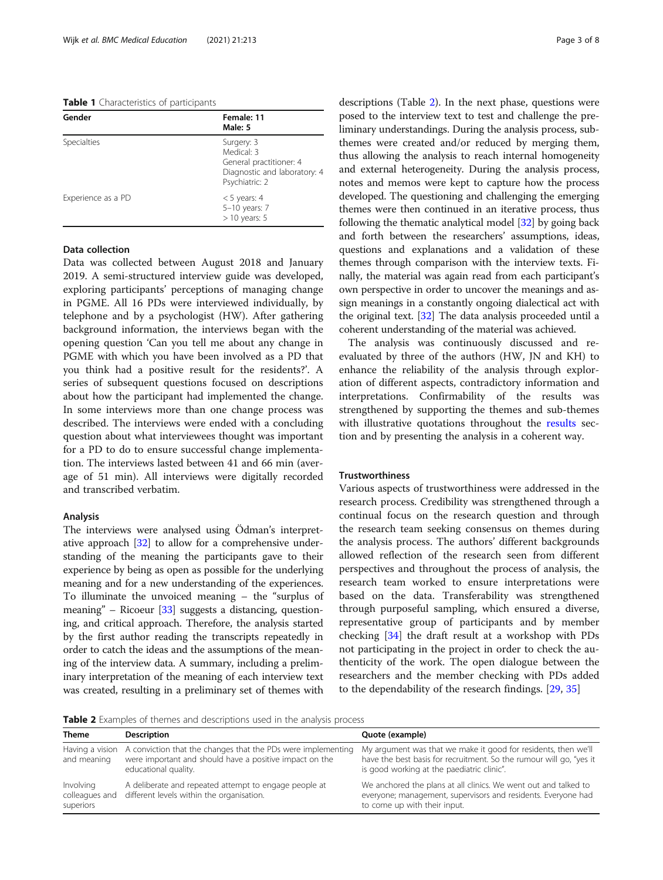<span id="page-2-0"></span>Table 1 Characteristics of participants

| Gender             | Female: 11<br>Male: 5                                                                                 |
|--------------------|-------------------------------------------------------------------------------------------------------|
| <b>Specialties</b> | Surgery: 3<br>Medical: 3<br>General practitioner: 4<br>Diagnostic and laboratory: 4<br>Psychiatric: 2 |
| Experience as a PD | $<$ 5 years: 4<br>5-10 years: 7<br>$>$ 10 years: 5                                                    |

#### Data collection

Data was collected between August 2018 and January 2019. A semi-structured interview guide was developed, exploring participants' perceptions of managing change in PGME. All 16 PDs were interviewed individually, by telephone and by a psychologist (HW). After gathering background information, the interviews began with the opening question 'Can you tell me about any change in PGME with which you have been involved as a PD that you think had a positive result for the residents?'. A series of subsequent questions focused on descriptions about how the participant had implemented the change. In some interviews more than one change process was described. The interviews were ended with a concluding question about what interviewees thought was important for a PD to do to ensure successful change implementation. The interviews lasted between 41 and 66 min (average of 51 min). All interviews were digitally recorded and transcribed verbatim.

#### Analysis

The interviews were analysed using Ödman's interpretative approach [\[32\]](#page-7-0) to allow for a comprehensive understanding of the meaning the participants gave to their experience by being as open as possible for the underlying meaning and for a new understanding of the experiences. To illuminate the unvoiced meaning – the "surplus of meaning" – Ricoeur [\[33\]](#page-7-0) suggests a distancing, questioning, and critical approach. Therefore, the analysis started by the first author reading the transcripts repeatedly in order to catch the ideas and the assumptions of the meaning of the interview data. A summary, including a preliminary interpretation of the meaning of each interview text was created, resulting in a preliminary set of themes with descriptions (Table 2). In the next phase, questions were posed to the interview text to test and challenge the preliminary understandings. During the analysis process, subthemes were created and/or reduced by merging them, thus allowing the analysis to reach internal homogeneity and external heterogeneity. During the analysis process, notes and memos were kept to capture how the process developed. The questioning and challenging the emerging themes were then continued in an iterative process, thus following the thematic analytical model [[32\]](#page-7-0) by going back and forth between the researchers' assumptions, ideas, questions and explanations and a validation of these themes through comparison with the interview texts. Finally, the material was again read from each participant's own perspective in order to uncover the meanings and assign meanings in a constantly ongoing dialectical act with the original text. [\[32\]](#page-7-0) The data analysis proceeded until a coherent understanding of the material was achieved.

The analysis was continuously discussed and reevaluated by three of the authors (HW, JN and KH) to enhance the reliability of the analysis through exploration of different aspects, contradictory information and interpretations. Confirmability of the results was strengthened by supporting the themes and sub-themes with illustrative quotations throughout the [results](#page-3-0) section and by presenting the analysis in a coherent way.

#### **Trustworthiness**

Various aspects of trustworthiness were addressed in the research process. Credibility was strengthened through a continual focus on the research question and through the research team seeking consensus on themes during the analysis process. The authors' different backgrounds allowed reflection of the research seen from different perspectives and throughout the process of analysis, the research team worked to ensure interpretations were based on the data. Transferability was strengthened through purposeful sampling, which ensured a diverse, representative group of participants and by member checking [\[34](#page-7-0)] the draft result at a workshop with PDs not participating in the project in order to check the authenticity of the work. The open dialogue between the researchers and the member checking with PDs added to the dependability of the research findings. [[29,](#page-7-0) [35\]](#page-7-0)

**Table 2** Examples of themes and descriptions used in the analysis process

| <b>Theme</b>                             | Description                                                                                                                                     | Quote (example)                                                                                                                                                                     |
|------------------------------------------|-------------------------------------------------------------------------------------------------------------------------------------------------|-------------------------------------------------------------------------------------------------------------------------------------------------------------------------------------|
| Having a vision<br>and meaning           | A conviction that the changes that the PDs were implementing<br>were important and should have a positive impact on the<br>educational quality. | My argument was that we make it good for residents, then we'll<br>have the best basis for recruitment. So the rumour will go, "yes it<br>is good working at the paediatric clinic". |
| Involving<br>colleagues and<br>superiors | A deliberate and repeated attempt to engage people at<br>different levels within the organisation.                                              | We anchored the plans at all clinics. We went out and talked to<br>everyone; management, supervisors and residents. Everyone had<br>to come up with their input.                    |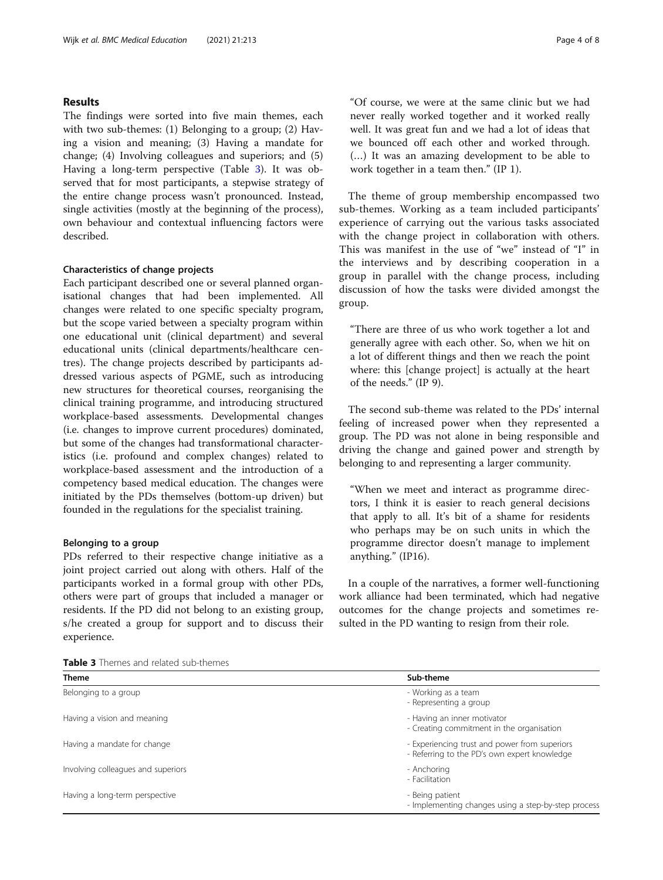#### <span id="page-3-0"></span>Results

The findings were sorted into five main themes, each with two sub-themes: (1) Belonging to a group; (2) Having a vision and meaning; (3) Having a mandate for change; (4) Involving colleagues and superiors; and (5) Having a long-term perspective (Table 3). It was observed that for most participants, a stepwise strategy of the entire change process wasn't pronounced. Instead, single activities (mostly at the beginning of the process), own behaviour and contextual influencing factors were described.

#### Characteristics of change projects

Each participant described one or several planned organisational changes that had been implemented. All changes were related to one specific specialty program, but the scope varied between a specialty program within one educational unit (clinical department) and several educational units (clinical departments/healthcare centres). The change projects described by participants addressed various aspects of PGME, such as introducing new structures for theoretical courses, reorganising the clinical training programme, and introducing structured workplace-based assessments. Developmental changes (i.e. changes to improve current procedures) dominated, but some of the changes had transformational characteristics (i.e. profound and complex changes) related to workplace-based assessment and the introduction of a competency based medical education. The changes were initiated by the PDs themselves (bottom-up driven) but founded in the regulations for the specialist training.

#### Belonging to a group

PDs referred to their respective change initiative as a joint project carried out along with others. Half of the participants worked in a formal group with other PDs, others were part of groups that included a manager or residents. If the PD did not belong to an existing group, s/he created a group for support and to discuss their experience.

"Of course, we were at the same clinic but we had never really worked together and it worked really well. It was great fun and we had a lot of ideas that we bounced off each other and worked through. (…) It was an amazing development to be able to work together in a team then." (IP 1).

The theme of group membership encompassed two sub-themes. Working as a team included participants' experience of carrying out the various tasks associated with the change project in collaboration with others. This was manifest in the use of "we" instead of "I" in the interviews and by describing cooperation in a group in parallel with the change process, including discussion of how the tasks were divided amongst the group.

"There are three of us who work together a lot and generally agree with each other. So, when we hit on a lot of different things and then we reach the point where: this [change project] is actually at the heart of the needs." (IP 9).

The second sub-theme was related to the PDs' internal feeling of increased power when they represented a group. The PD was not alone in being responsible and driving the change and gained power and strength by belonging to and representing a larger community.

"When we meet and interact as programme directors, I think it is easier to reach general decisions that apply to all. It's bit of a shame for residents who perhaps may be on such units in which the programme director doesn't manage to implement anything." (IP16).

In a couple of the narratives, a former well-functioning work alliance had been terminated, which had negative outcomes for the change projects and sometimes resulted in the PD wanting to resign from their role.

Table 3 Themes and related sub-themes

| <b>Theme</b>                       | Sub-theme                                                                                     |
|------------------------------------|-----------------------------------------------------------------------------------------------|
| Belonging to a group               | - Working as a team<br>- Representing a group                                                 |
| Having a vision and meaning        | - Having an inner motivator<br>- Creating commitment in the organisation                      |
| Having a mandate for change        | - Experiencing trust and power from superiors<br>- Referring to the PD's own expert knowledge |
| Involving colleagues and superiors | - Anchoring<br>- Facilitation                                                                 |
| Having a long-term perspective     | - Being patient<br>- Implementing changes using a step-by-step process                        |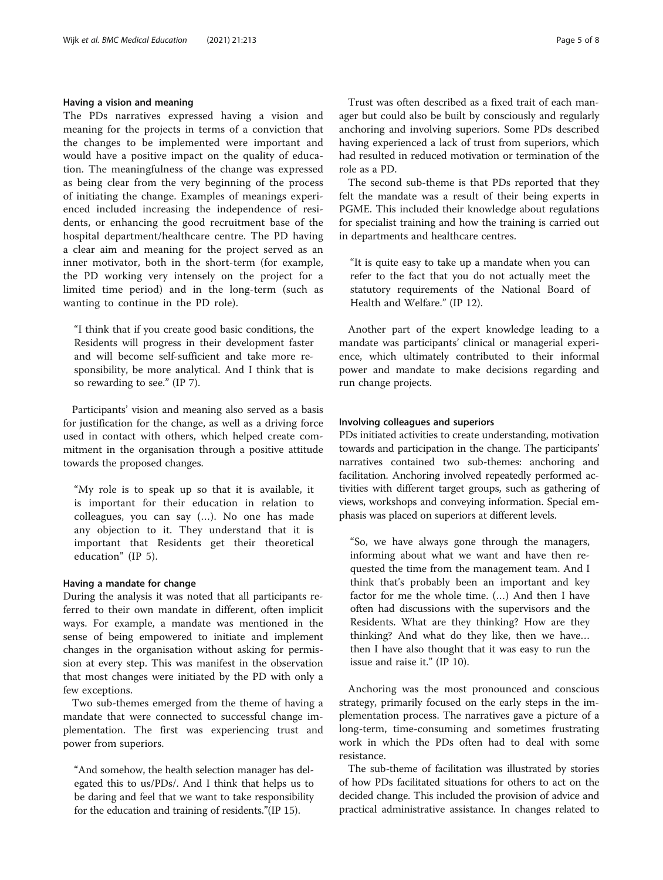#### Having a vision and meaning

The PDs narratives expressed having a vision and meaning for the projects in terms of a conviction that the changes to be implemented were important and would have a positive impact on the quality of education. The meaningfulness of the change was expressed as being clear from the very beginning of the process of initiating the change. Examples of meanings experienced included increasing the independence of residents, or enhancing the good recruitment base of the hospital department/healthcare centre. The PD having a clear aim and meaning for the project served as an inner motivator, both in the short-term (for example, the PD working very intensely on the project for a limited time period) and in the long-term (such as wanting to continue in the PD role).

"I think that if you create good basic conditions, the Residents will progress in their development faster and will become self-sufficient and take more responsibility, be more analytical. And I think that is so rewarding to see." (IP 7).

Participants' vision and meaning also served as a basis for justification for the change, as well as a driving force used in contact with others, which helped create commitment in the organisation through a positive attitude towards the proposed changes.

"My role is to speak up so that it is available, it is important for their education in relation to colleagues, you can say (…). No one has made any objection to it. They understand that it is important that Residents get their theoretical education" (IP 5).

#### Having a mandate for change

During the analysis it was noted that all participants referred to their own mandate in different, often implicit ways. For example, a mandate was mentioned in the sense of being empowered to initiate and implement changes in the organisation without asking for permission at every step. This was manifest in the observation that most changes were initiated by the PD with only a few exceptions.

Two sub-themes emerged from the theme of having a mandate that were connected to successful change implementation. The first was experiencing trust and power from superiors.

"And somehow, the health selection manager has delegated this to us/PDs/. And I think that helps us to be daring and feel that we want to take responsibility for the education and training of residents."(IP 15).

Trust was often described as a fixed trait of each manager but could also be built by consciously and regularly anchoring and involving superiors. Some PDs described having experienced a lack of trust from superiors, which had resulted in reduced motivation or termination of the role as a PD.

The second sub-theme is that PDs reported that they felt the mandate was a result of their being experts in PGME. This included their knowledge about regulations for specialist training and how the training is carried out in departments and healthcare centres.

"It is quite easy to take up a mandate when you can refer to the fact that you do not actually meet the statutory requirements of the National Board of Health and Welfare." (IP 12).

Another part of the expert knowledge leading to a mandate was participants' clinical or managerial experience, which ultimately contributed to their informal power and mandate to make decisions regarding and run change projects.

#### Involving colleagues and superiors

PDs initiated activities to create understanding, motivation towards and participation in the change. The participants' narratives contained two sub-themes: anchoring and facilitation. Anchoring involved repeatedly performed activities with different target groups, such as gathering of views, workshops and conveying information. Special emphasis was placed on superiors at different levels.

"So, we have always gone through the managers, informing about what we want and have then requested the time from the management team. And I think that's probably been an important and key factor for me the whole time. (…) And then I have often had discussions with the supervisors and the Residents. What are they thinking? How are they thinking? And what do they like, then we have… then I have also thought that it was easy to run the issue and raise it." (IP 10).

Anchoring was the most pronounced and conscious strategy, primarily focused on the early steps in the implementation process. The narratives gave a picture of a long-term, time-consuming and sometimes frustrating work in which the PDs often had to deal with some resistance.

The sub-theme of facilitation was illustrated by stories of how PDs facilitated situations for others to act on the decided change. This included the provision of advice and practical administrative assistance. In changes related to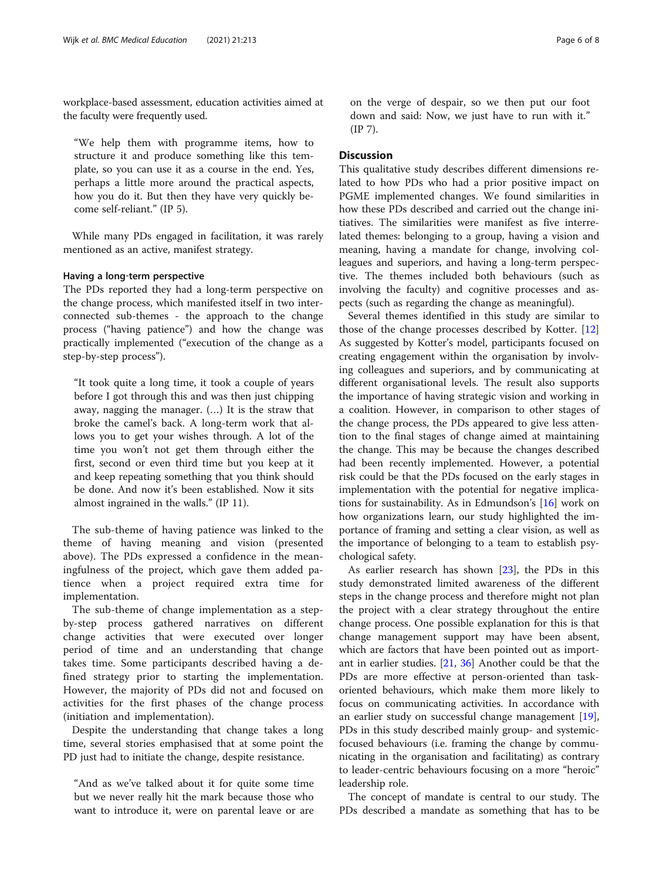workplace-based assessment, education activities aimed at the faculty were frequently used.

"We help them with programme items, how to structure it and produce something like this template, so you can use it as a course in the end. Yes, perhaps a little more around the practical aspects, how you do it. But then they have very quickly become self-reliant." (IP 5).

While many PDs engaged in facilitation, it was rarely mentioned as an active, manifest strategy.

#### Having a long‐term perspective

The PDs reported they had a long-term perspective on the change process, which manifested itself in two interconnected sub-themes - the approach to the change process ("having patience") and how the change was practically implemented ("execution of the change as a step-by-step process").

"It took quite a long time, it took a couple of years before I got through this and was then just chipping away, nagging the manager. (…) It is the straw that broke the camel's back. A long-term work that allows you to get your wishes through. A lot of the time you won't not get them through either the first, second or even third time but you keep at it and keep repeating something that you think should be done. And now it's been established. Now it sits almost ingrained in the walls." (IP 11).

The sub-theme of having patience was linked to the theme of having meaning and vision (presented above). The PDs expressed a confidence in the meaningfulness of the project, which gave them added patience when a project required extra time for implementation.

The sub-theme of change implementation as a stepby-step process gathered narratives on different change activities that were executed over longer period of time and an understanding that change takes time. Some participants described having a defined strategy prior to starting the implementation. However, the majority of PDs did not and focused on activities for the first phases of the change process (initiation and implementation).

Despite the understanding that change takes a long time, several stories emphasised that at some point the PD just had to initiate the change, despite resistance.

"And as we've talked about it for quite some time but we never really hit the mark because those who want to introduce it, were on parental leave or are

on the verge of despair, so we then put our foot down and said: Now, we just have to run with it." (IP 7).

#### **Discussion**

This qualitative study describes different dimensions related to how PDs who had a prior positive impact on PGME implemented changes. We found similarities in how these PDs described and carried out the change initiatives. The similarities were manifest as five interrelated themes: belonging to a group, having a vision and meaning, having a mandate for change, involving colleagues and superiors, and having a long-term perspective. The themes included both behaviours (such as involving the faculty) and cognitive processes and aspects (such as regarding the change as meaningful).

Several themes identified in this study are similar to those of the change processes described by Kotter. [[12](#page-7-0)] As suggested by Kotter's model, participants focused on creating engagement within the organisation by involving colleagues and superiors, and by communicating at different organisational levels. The result also supports the importance of having strategic vision and working in a coalition. However, in comparison to other stages of the change process, the PDs appeared to give less attention to the final stages of change aimed at maintaining the change. This may be because the changes described had been recently implemented. However, a potential risk could be that the PDs focused on the early stages in implementation with the potential for negative implications for sustainability. As in Edmundson's [[16\]](#page-7-0) work on how organizations learn, our study highlighted the importance of framing and setting a clear vision, as well as the importance of belonging to a team to establish psychological safety.

As earlier research has shown [\[23](#page-7-0)], the PDs in this study demonstrated limited awareness of the different steps in the change process and therefore might not plan the project with a clear strategy throughout the entire change process. One possible explanation for this is that change management support may have been absent, which are factors that have been pointed out as important in earlier studies. [\[21](#page-7-0), [36](#page-7-0)] Another could be that the PDs are more effective at person-oriented than taskoriented behaviours, which make them more likely to focus on communicating activities. In accordance with an earlier study on successful change management [\[19](#page-7-0)], PDs in this study described mainly group- and systemicfocused behaviours (i.e. framing the change by communicating in the organisation and facilitating) as contrary to leader-centric behaviours focusing on a more "heroic" leadership role.

The concept of mandate is central to our study. The PDs described a mandate as something that has to be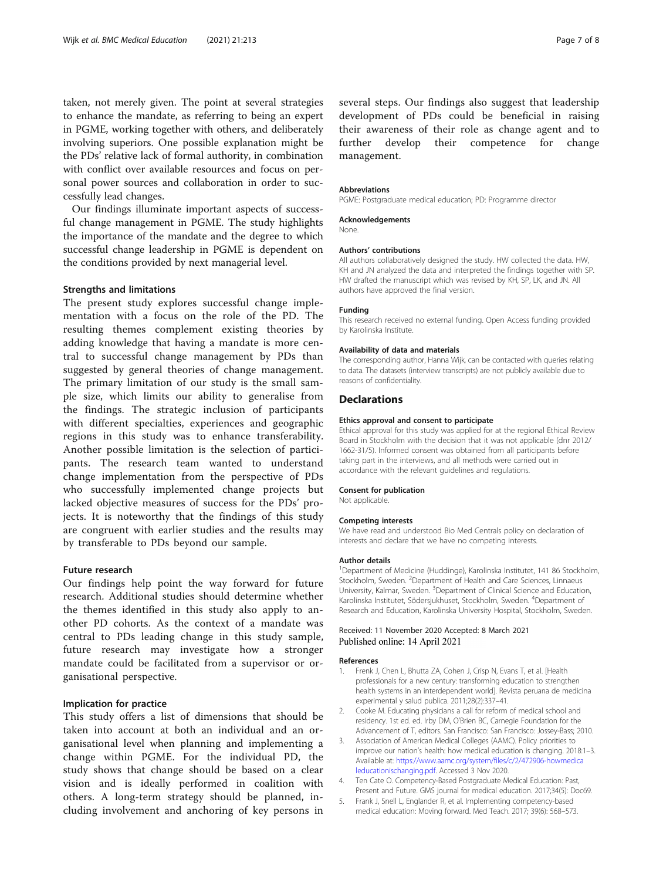<span id="page-6-0"></span>taken, not merely given. The point at several strategies to enhance the mandate, as referring to being an expert in PGME, working together with others, and deliberately involving superiors. One possible explanation might be the PDs' relative lack of formal authority, in combination with conflict over available resources and focus on personal power sources and collaboration in order to successfully lead changes.

Our findings illuminate important aspects of successful change management in PGME. The study highlights the importance of the mandate and the degree to which successful change leadership in PGME is dependent on the conditions provided by next managerial level.

#### Strengths and limitations

The present study explores successful change implementation with a focus on the role of the PD. The resulting themes complement existing theories by adding knowledge that having a mandate is more central to successful change management by PDs than suggested by general theories of change management. The primary limitation of our study is the small sample size, which limits our ability to generalise from the findings. The strategic inclusion of participants with different specialties, experiences and geographic regions in this study was to enhance transferability. Another possible limitation is the selection of participants. The research team wanted to understand change implementation from the perspective of PDs who successfully implemented change projects but lacked objective measures of success for the PDs' projects. It is noteworthy that the findings of this study are congruent with earlier studies and the results may by transferable to PDs beyond our sample.

#### Future research

Our findings help point the way forward for future research. Additional studies should determine whether the themes identified in this study also apply to another PD cohorts. As the context of a mandate was central to PDs leading change in this study sample, future research may investigate how a stronger mandate could be facilitated from a supervisor or organisational perspective.

#### Implication for practice

This study offers a list of dimensions that should be taken into account at both an individual and an organisational level when planning and implementing a change within PGME. For the individual PD, the study shows that change should be based on a clear vision and is ideally performed in coalition with others. A long-term strategy should be planned, including involvement and anchoring of key persons in several steps. Our findings also suggest that leadership development of PDs could be beneficial in raising their awareness of their role as change agent and to further develop their competence for change management.

#### Abbreviations

PGME: Postgraduate medical education; PD: Programme director

#### Acknowledgements

None.

#### Authors' contributions

All authors collaboratively designed the study. HW collected the data. HW, KH and JN analyzed the data and interpreted the findings together with SP. HW drafted the manuscript which was revised by KH, SP, LK, and JN. All authors have approved the final version.

#### Funding

This research received no external funding. Open Access funding provided by Karolinska Institute.

#### Availability of data and materials

The corresponding author, Hanna Wijk, can be contacted with queries relating to data. The datasets (interview transcripts) are not publicly available due to reasons of confidentiality.

#### **Declarations**

#### Ethics approval and consent to participate

Ethical approval for this study was applied for at the regional Ethical Review Board in Stockholm with the decision that it was not applicable (dnr 2012/ 1662-31/5). Informed consent was obtained from all participants before taking part in the interviews, and all methods were carried out in accordance with the relevant guidelines and regulations.

#### Consent for publication

Not applicable.

#### Competing interests

We have read and understood Bio Med Centrals policy on declaration of interests and declare that we have no competing interests.

#### Author details

<sup>1</sup>Department of Medicine (Huddinge), Karolinska Institutet, 141 86 Stockholm Stockholm, Sweden. <sup>2</sup>Department of Health and Care Sciences, Linnaeus University, Kalmar, Sweden. <sup>3</sup>Department of Clinical Science and Education Karolinska Institutet, Södersjukhuset, Stockholm, Sweden. <sup>4</sup> Department of Research and Education, Karolinska University Hospital, Stockholm, Sweden.

#### Received: 11 November 2020 Accepted: 8 March 2021 Published online: 14 April 2021

#### References

- 1. Frenk J, Chen L, Bhutta ZA, Cohen J, Crisp N, Evans T, et al. [Health professionals for a new century: transforming education to strengthen health systems in an interdependent world]. Revista peruana de medicina experimental y salud publica. 2011;28(2):337–41.
- 2. Cooke M. Educating physicians a call for reform of medical school and residency. 1st ed. ed. Irby DM, O'Brien BC, Carnegie Foundation for the Advancement of T, editors. San Francisco: San Francisco: Jossey-Bass; 2010.
- 3. Association of American Medical Colleges (AAMC). Policy priorities to improve our nation's health: how medical education is changing. 2018:1–3. Available at: [https://www.aamc.org/system/files/c/2/472906-howmedica](https://www.aamc.org/system/files/c/2/472906-howmedicaleducationischanging.pdf) [leducationischanging.pdf](https://www.aamc.org/system/files/c/2/472906-howmedicaleducationischanging.pdf). Accessed 3 Nov 2020.
- 4. Ten Cate O. Competency-Based Postgraduate Medical Education: Past, Present and Future. GMS journal for medical education. 2017;34(5): Doc69.
- 5. Frank J, Snell L, Englander R, et al. Implementing competency-based medical education: Moving forward. Med Teach. 2017; 39(6): 568–573.